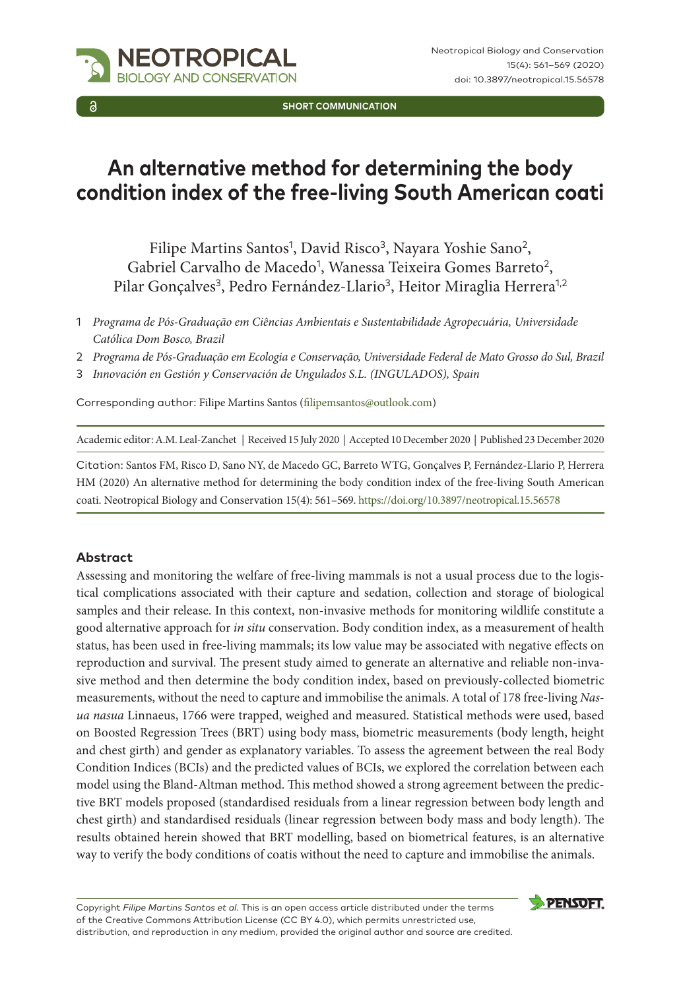

Neotropical Biology and Conservation 15(4): 561–569 (2020) doi: 10.3897/neotropical.15.56578

**SHORT COMMUNICATION**

# **An alternative method for determining the body condition index of the free-living South American coati**

Filipe Martins Santos<sup>1</sup>, David Risco<sup>3</sup>, Nayara Yoshie Sano<sup>2</sup>, Gabriel Carvalho de Macedo<sup>1</sup>, Wanessa Teixeira Gomes Barreto<sup>2</sup>, Pilar Gonçalves<sup>3</sup>, Pedro Fernández-Llario<sup>3</sup>, Heitor Miraglia Herrera<sup>1,2</sup>

- 1 *Programa de Pós-Graduação em Ciências Ambientais e Sustentabilidade Agropecuária, Universidade Católica Dom Bosco, Brazil*
- 2 *Programa de Pós-Graduação em Ecologia e Conservação, Universidade Federal de Mato Grosso do Sul, Brazil*
- 3 *Innovación en Gestión y Conservación de Ungulados S.L. (INGULADOS), Spain*

Corresponding author: Filipe Martins Santos ([filipemsantos@outlook.com](mailto:filipemsantos@outlook.com))

Academic editor: A.M. Leal-Zanchet | Received 15 July 2020 | Accepted 10 December 2020 | Published 23 December 2020

Citation: Santos FM, Risco D, Sano NY, de Macedo GC, Barreto WTG, Gonçalves P, Fernández-Llario P, Herrera HM (2020) An alternative method for determining the body condition index of the free-living South American coati. Neotropical Biology and Conservation 15(4): 561–569.<https://doi.org/10.3897/neotropical.15.56578>

### **Abstract**

Assessing and monitoring the welfare of free-living mammals is not a usual process due to the logistical complications associated with their capture and sedation, collection and storage of biological samples and their release. In this context, non-invasive methods for monitoring wildlife constitute a good alternative approach for *in situ* conservation. Body condition index, as a measurement of health status, has been used in free-living mammals; its low value may be associated with negative effects on reproduction and survival. The present study aimed to generate an alternative and reliable non-invasive method and then determine the body condition index, based on previously-collected biometric measurements, without the need to capture and immobilise the animals. A total of 178 free-living *Nasua nasua* Linnaeus, 1766 were trapped, weighed and measured. Statistical methods were used, based on Boosted Regression Trees (BRT) using body mass, biometric measurements (body length, height and chest girth) and gender as explanatory variables. To assess the agreement between the real Body Condition Indices (BCIs) and the predicted values of BCIs, we explored the correlation between each model using the Bland-Altman method. This method showed a strong agreement between the predictive BRT models proposed (standardised residuals from a linear regression between body length and chest girth) and standardised residuals (linear regression between body mass and body length). The results obtained herein showed that BRT modelling, based on biometrical features, is an alternative way to verify the body conditions of coatis without the need to capture and immobilise the animals.

Copyright *Filipe Martins Santos et al*. This is an open access article distributed under the terms of the [Creative Commons Attribution License \(CC BY 4.0\)](http://creativecommons.org/licenses/by/4.0/), which permits unrestricted use, distribution, and reproduction in any medium, provided the original author and source are credited.

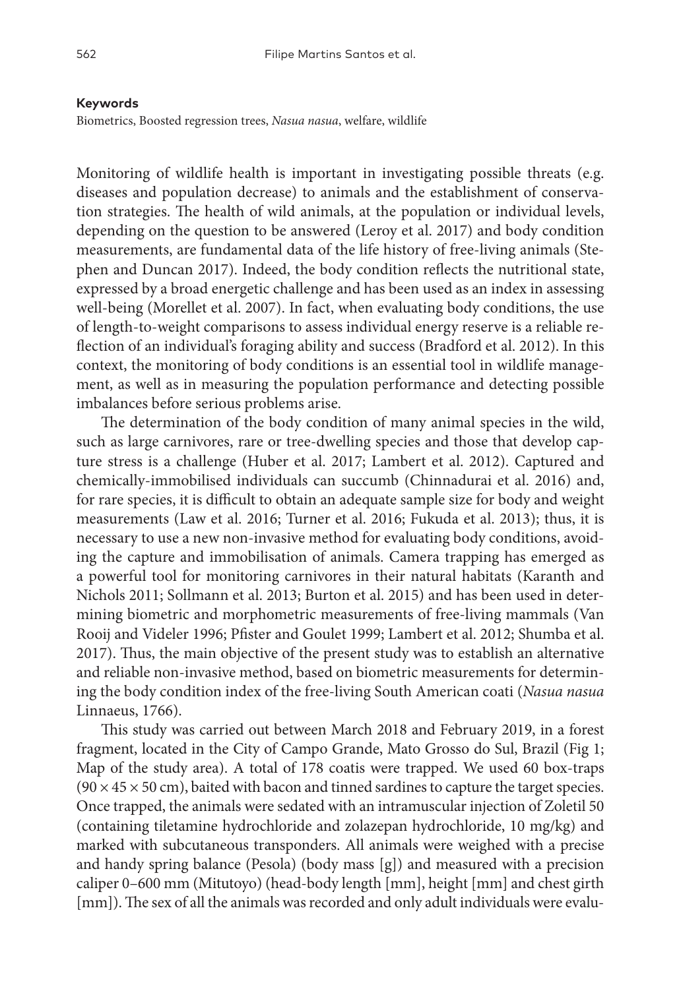#### **Keywords**

Biometrics, Boosted regression trees, *Nasua nasua*, welfare, wildlife

Monitoring of wildlife health is important in investigating possible threats (e.g. diseases and population decrease) to animals and the establishment of conservation strategies. The health of wild animals, at the population or individual levels, depending on the question to be answered (Leroy et al. 2017) and body condition measurements, are fundamental data of the life history of free-living animals (Stephen and Duncan 2017). Indeed, the body condition reflects the nutritional state, expressed by a broad energetic challenge and has been used as an index in assessing well-being (Morellet et al. 2007). In fact, when evaluating body conditions, the use of length-to-weight comparisons to assess individual energy reserve is a reliable reflection of an individual's foraging ability and success (Bradford et al. 2012). In this context, the monitoring of body conditions is an essential tool in wildlife management, as well as in measuring the population performance and detecting possible imbalances before serious problems arise.

The determination of the body condition of many animal species in the wild, such as large carnivores, rare or tree-dwelling species and those that develop capture stress is a challenge (Huber et al. 2017; Lambert et al. 2012). Captured and chemically-immobilised individuals can succumb (Chinnadurai et al. 2016) and, for rare species, it is difficult to obtain an adequate sample size for body and weight measurements (Law et al. 2016; Turner et al. 2016; Fukuda et al. 2013); thus, it is necessary to use a new non-invasive method for evaluating body conditions, avoiding the capture and immobilisation of animals. Camera trapping has emerged as a powerful tool for monitoring carnivores in their natural habitats (Karanth and Nichols 2011; Sollmann et al. 2013; Burton et al. 2015) and has been used in determining biometric and morphometric measurements of free-living mammals (Van Rooij and Videler 1996; Pfister and Goulet 1999; Lambert et al. 2012; Shumba et al. 2017). Thus, the main objective of the present study was to establish an alternative and reliable non-invasive method, based on biometric measurements for determining the body condition index of the free-living South American coati (*Nasua nasua* Linnaeus, 1766).

This study was carried out between March 2018 and February 2019, in a forest fragment, located in the City of Campo Grande, Mato Grosso do Sul, Brazil (Fig 1; Map of the study area). A total of 178 coatis were trapped. We used 60 box-traps  $(90 \times 45 \times 50 \text{ cm})$ , baited with bacon and tinned sardines to capture the target species. Once trapped, the animals were sedated with an intramuscular injection of Zoletil 50 (containing tiletamine hydrochloride and zolazepan hydrochloride, 10 mg/kg) and marked with subcutaneous transponders. All animals were weighed with a precise and handy spring balance (Pesola) (body mass [g]) and measured with a precision caliper 0–600 mm (Mitutoyo) (head-body length [mm], height [mm] and chest girth [mm]). The sex of all the animals was recorded and only adult individuals were evalu-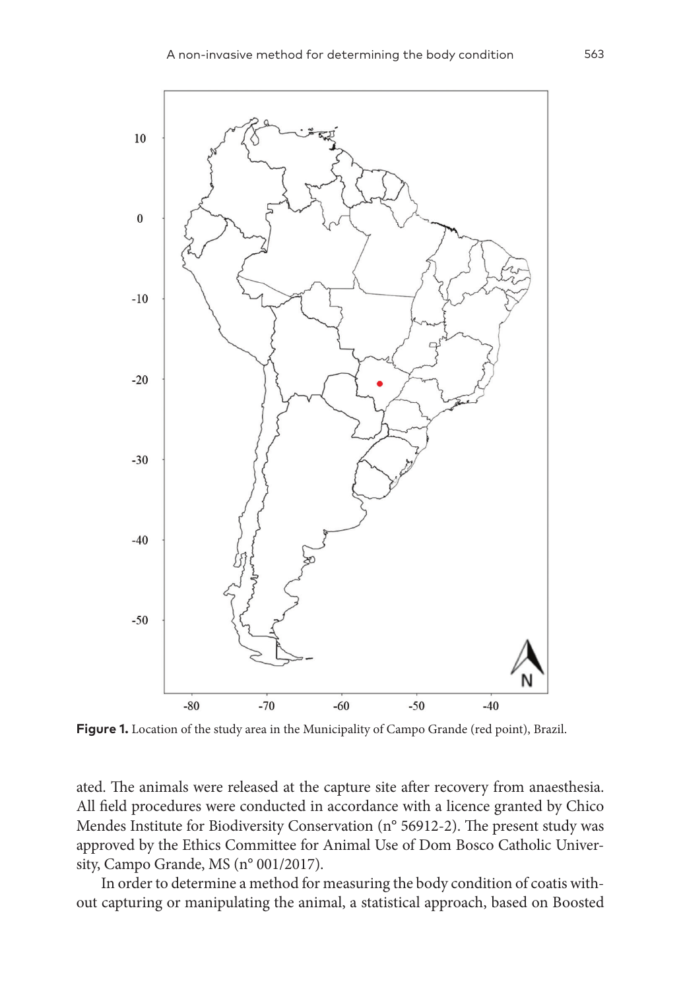

**Figure 1.** Location of the study area in the Municipality of Campo Grande (red point), Brazil.

ated. The animals were released at the capture site after recovery from anaesthesia. All field procedures were conducted in accordance with a licence granted by Chico Mendes Institute for Biodiversity Conservation (n° 56912-2). The present study was approved by the Ethics Committee for Animal Use of Dom Bosco Catholic University, Campo Grande, MS (n° 001/2017).

In order to determine a method for measuring the body condition of coatis without capturing or manipulating the animal, a statistical approach, based on Boosted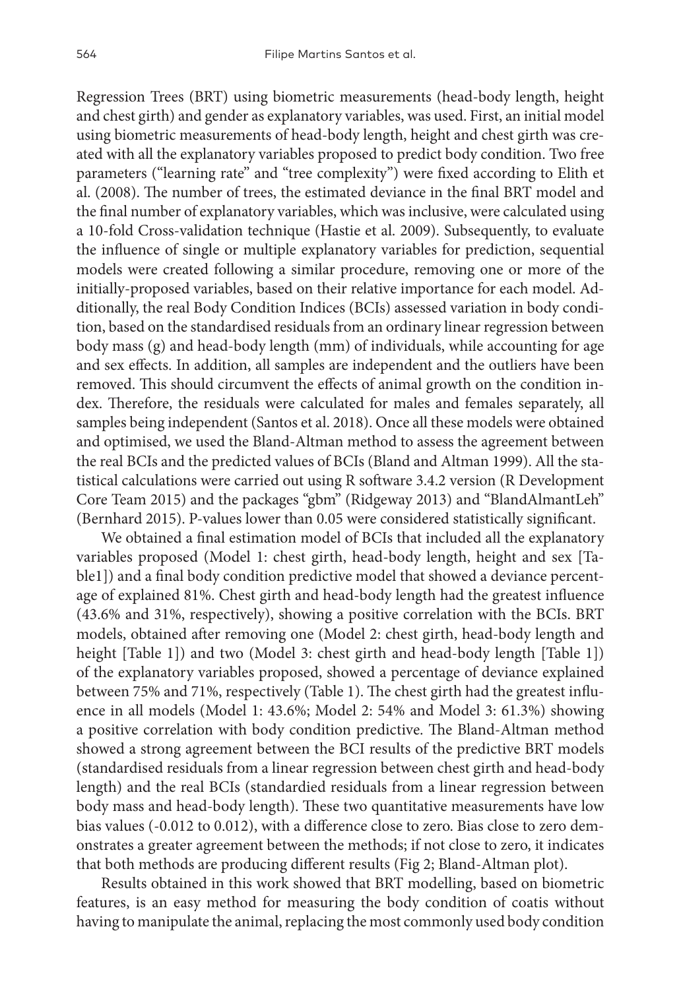Regression Trees (BRT) using biometric measurements (head-body length, height and chest girth) and gender as explanatory variables, was used. First, an initial model using biometric measurements of head-body length, height and chest girth was created with all the explanatory variables proposed to predict body condition. Two free parameters ("learning rate" and "tree complexity") were fixed according to Elith et al. (2008). The number of trees, the estimated deviance in the final BRT model and the final number of explanatory variables, which was inclusive, were calculated using a 10-fold Cross-validation technique (Hastie et al. 2009). Subsequently, to evaluate the influence of single or multiple explanatory variables for prediction, sequential models were created following a similar procedure, removing one or more of the initially-proposed variables, based on their relative importance for each model. Additionally, the real Body Condition Indices (BCIs) assessed variation in body condition, based on the standardised residuals from an ordinary linear regression between body mass (g) and head-body length (mm) of individuals, while accounting for age and sex effects. In addition, all samples are independent and the outliers have been removed. This should circumvent the effects of animal growth on the condition index. Therefore, the residuals were calculated for males and females separately, all samples being independent (Santos et al. 2018). Once all these models were obtained and optimised, we used the Bland-Altman method to assess the agreement between the real BCIs and the predicted values of BCIs (Bland and Altman 1999). All the statistical calculations were carried out using R software 3.4.2 version (R Development Core Team 2015) and the packages "gbm" (Ridgeway 2013) and "BlandAlmantLeh" (Bernhard 2015). P-values lower than 0.05 were considered statistically significant.

We obtained a final estimation model of BCIs that included all the explanatory variables proposed (Model 1: chest girth, head-body length, height and sex [Table1]) and a final body condition predictive model that showed a deviance percentage of explained 81%. Chest girth and head-body length had the greatest influence (43.6% and 31%, respectively), showing a positive correlation with the BCIs. BRT models, obtained after removing one (Model 2: chest girth, head-body length and height [Table 1]) and two (Model 3: chest girth and head-body length [Table 1]) of the explanatory variables proposed, showed a percentage of deviance explained between 75% and 71%, respectively (Table 1). The chest girth had the greatest influence in all models (Model 1: 43.6%; Model 2: 54% and Model 3: 61.3%) showing a positive correlation with body condition predictive. The Bland-Altman method showed a strong agreement between the BCI results of the predictive BRT models (standardised residuals from a linear regression between chest girth and head-body length) and the real BCIs (standardied residuals from a linear regression between body mass and head-body length). These two quantitative measurements have low bias values (-0.012 to 0.012), with a difference close to zero. Bias close to zero demonstrates a greater agreement between the methods; if not close to zero, it indicates that both methods are producing different results (Fig 2; Bland-Altman plot).

Results obtained in this work showed that BRT modelling, based on biometric features, is an easy method for measuring the body condition of coatis without having to manipulate the animal, replacing the most commonly used body condition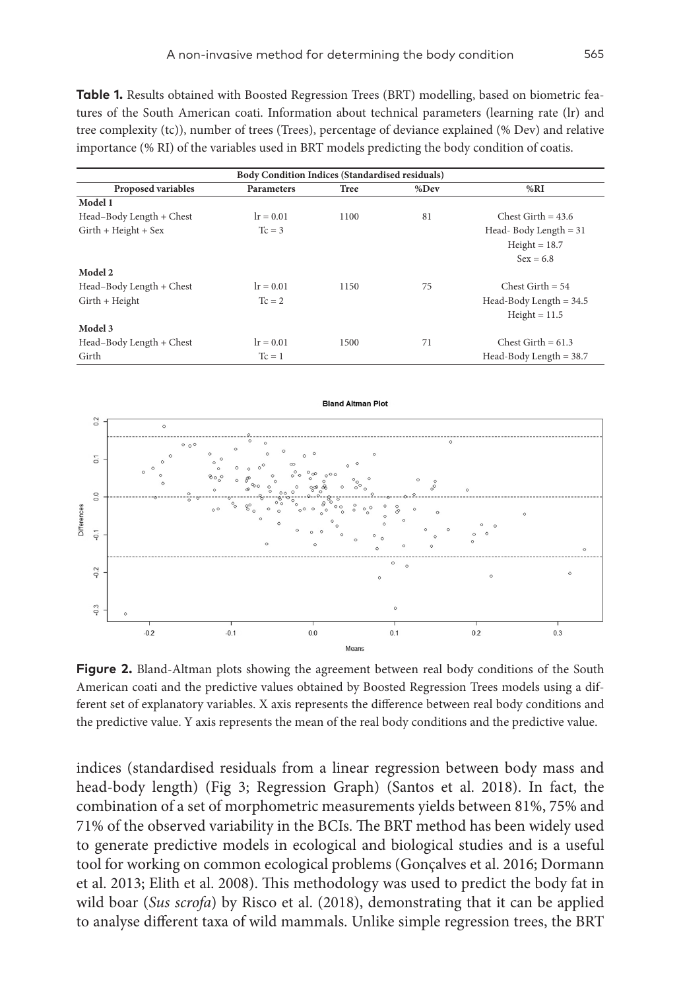**Table 1.** Results obtained with Boosted Regression Trees (BRT) modelling, based on biometric features of the South American coati. Information about technical parameters (learning rate (lr) and tree complexity (tc)), number of trees (Trees), percentage of deviance explained (% Dev) and relative importance (% RI) of the variables used in BRT models predicting the body condition of coatis.

| <b>Body Condition Indices (Standardised residuals)</b> |                   |      |      |                           |
|--------------------------------------------------------|-------------------|------|------|---------------------------|
| <b>Proposed variables</b>                              | <b>Parameters</b> | Tree | %Dev | %RI                       |
| Model 1                                                |                   |      |      |                           |
| Head-Body Length + Chest                               | $lr = 0.01$       | 1100 | 81   | Chest Girth $= 43.6$      |
| $Girth + Height + Sex$                                 | $Tc = 3$          |      |      | Head-Body Length $= 31$   |
|                                                        |                   |      |      | $Height = 18.7$           |
|                                                        |                   |      |      | $Sex = 6.8$               |
| Model 2                                                |                   |      |      |                           |
| Head-Body Length + Chest                               | $lr = 0.01$       | 1150 | 75   | Chest Girth $= 54$        |
| $Girth + Height$                                       | $T_c = 2$         |      |      | Head-Body Length $=$ 34.5 |
|                                                        |                   |      |      | $Height = 11.5$           |
| Model 3                                                |                   |      |      |                           |
| Head-Body Length + Chest                               | $lr = 0.01$       | 1500 | 71   | Chest Girth $= 61.3$      |
| Girth                                                  | $Tc = 1$          |      |      | Head-Body Length $=$ 38.7 |



**Figure 2.** Bland-Altman plots showing the agreement between real body conditions of the South American coati and the predictive values obtained by Boosted Regression Trees models using a different set of explanatory variables. X axis represents the difference between real body conditions and the predictive value. Y axis represents the mean of the real body conditions and the predictive value.

indices (standardised residuals from a linear regression between body mass and head-body length) (Fig 3; Regression Graph) (Santos et al. 2018). In fact, the combination of a set of morphometric measurements yields between 81%, 75% and 71% of the observed variability in the BCIs. The BRT method has been widely used to generate predictive models in ecological and biological studies and is a useful tool for working on common ecological problems (Gonçalves et al. 2016; Dormann et al. 2013; Elith et al. 2008). This methodology was used to predict the body fat in wild boar (*Sus scrofa*) by Risco et al. (2018), demonstrating that it can be applied to analyse different taxa of wild mammals. Unlike simple regression trees, the BRT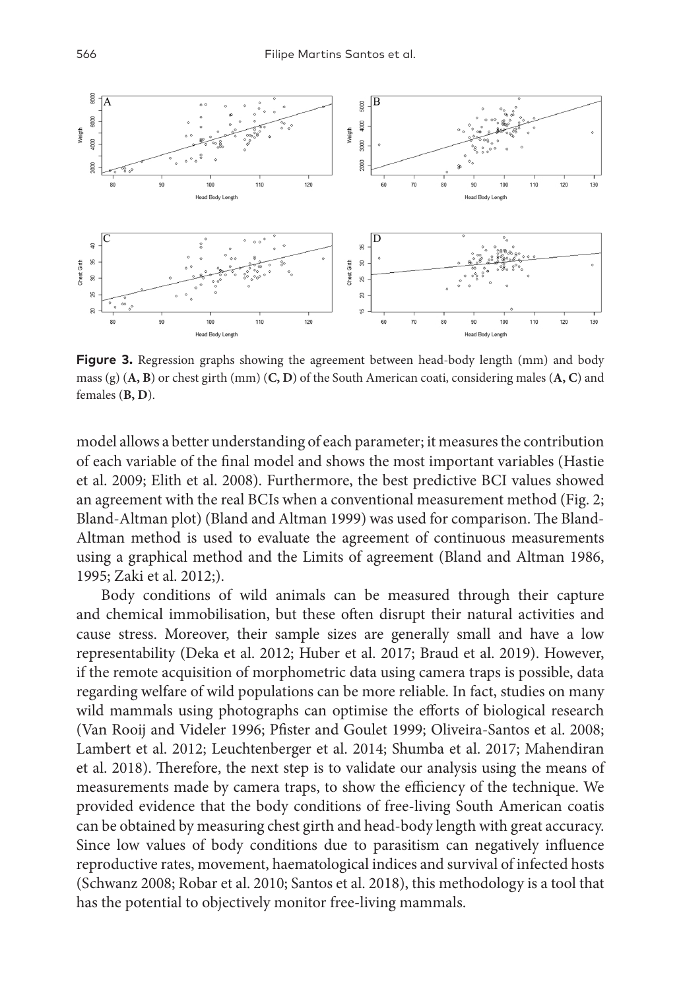

**Figure 3.** Regression graphs showing the agreement between head-body length (mm) and body mass (g) (**A, B**) or chest girth (mm) (**C, D**) of the South American coati, considering males (**A, C**) and females (**B, D**).

model allows a better understanding of each parameter; it measures the contribution of each variable of the final model and shows the most important variables (Hastie et al. 2009; Elith et al. 2008). Furthermore, the best predictive BCI values showed an agreement with the real BCIs when a conventional measurement method (Fig. 2; Bland-Altman plot) (Bland and Altman 1999) was used for comparison. The Bland-Altman method is used to evaluate the agreement of continuous measurements using a graphical method and the Limits of agreement (Bland and Altman 1986, 1995; Zaki et al. 2012;).

Body conditions of wild animals can be measured through their capture and chemical immobilisation, but these often disrupt their natural activities and cause stress. Moreover, their sample sizes are generally small and have a low representability (Deka et al. 2012; Huber et al. 2017; Braud et al. 2019). However, if the remote acquisition of morphometric data using camera traps is possible, data regarding welfare of wild populations can be more reliable. In fact, studies on many wild mammals using photographs can optimise the efforts of biological research (Van Rooij and Videler 1996; Pfister and Goulet 1999; Oliveira-Santos et al. 2008; Lambert et al. 2012; Leuchtenberger et al. 2014; Shumba et al. 2017; Mahendiran et al. 2018). Therefore, the next step is to validate our analysis using the means of measurements made by camera traps, to show the efficiency of the technique. We provided evidence that the body conditions of free-living South American coatis can be obtained by measuring chest girth and head-body length with great accuracy. Since low values of body conditions due to parasitism can negatively influence reproductive rates, movement, haematological indices and survival of infected hosts (Schwanz 2008; Robar et al. 2010; Santos et al. 2018), this methodology is a tool that has the potential to objectively monitor free-living mammals.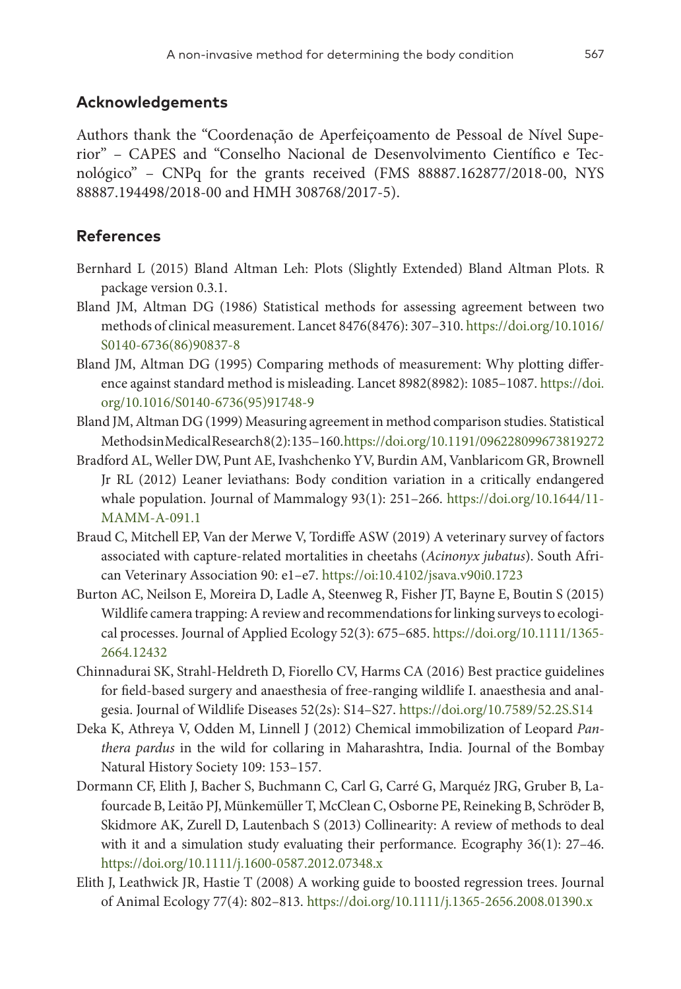## **Acknowledgements**

Authors thank the "Coordenação de Aperfeiçoamento de Pessoal de Nível Superior" – CAPES and "Conselho Nacional de Desenvolvimento Científico e Tecnológico" – CNPq for the grants received (FMS 88887.162877/2018-00, NYS 88887.194498/2018-00 and HMH 308768/2017-5).

## **References**

- Bernhard L (2015) Bland Altman Leh: Plots (Slightly Extended) Bland Altman Plots. R package version 0.3.1.
- Bland JM, Altman DG (1986) Statistical methods for assessing agreement between two methods of clinical measurement. Lancet 8476(8476): 307–310. [https://doi.org/10.1016/](https://doi.org/10.1016/S0140-6736(86)90837-8) [S0140-6736\(86\)90837-8](https://doi.org/10.1016/S0140-6736(86)90837-8)
- Bland JM, Altman DG (1995) Comparing methods of measurement: Why plotting difference against standard method is misleading. Lancet 8982(8982): 1085–1087. [https://doi.](https://doi.org/10.1016/S0140-6736(95)91748-9) [org/10.1016/S0140-6736\(95\)91748-9](https://doi.org/10.1016/S0140-6736(95)91748-9)
- Bland JM, Altman DG (1999) Measuring agreement in method comparison studies. Statistical MethodsinMedicalResearch8(2): 135–160.<https://doi.org/10.1191/096228099673819272>
- BradfordAL, Weller DW, PuntAE, Ivashchenko YV, BurdinAM, Vanblaricom GR, Brownell Jr RL (2012) Leaner leviathans: Body condition variation in a critically endangered whale population. Journal of Mammalogy 93(1): 251–266. [https://doi.org/10.1644/11-](https://doi.org/10.1644/11-MAMM-A-091.1) [MAMM-A-091.1](https://doi.org/10.1644/11-MAMM-A-091.1)
- Braud C, Mitchell EP, Van der Merwe V, Tordiffe ASW (2019) A veterinary survey of factors associated with capture-related mortalities in cheetahs (*Acinonyx jubatus*). South African Veterinary Association 90: e1–e7.<https://oi:10.4102/jsava.v90i0.1723>
- Burton AC, Neilson E, Moreira D, Ladle A, Steenweg R, Fisher JT, Bayne E, Boutin S (2015) Wildlife camera trapping: A review and recommendations for linking surveys to ecological processes. Journal of Applied Ecology 52(3): 675–685. [https://doi.org/10.1111/1365-](https://doi.org/10.1111/1365-2664.12432) [2664.12432](https://doi.org/10.1111/1365-2664.12432)
- Chinnadurai SK, Strahl-Heldreth D, Fiorello CV, Harms CA (2016) Best practice guidelines for field-based surgery and anaesthesia of free-ranging wildlife I. anaesthesia and analgesia. Journal of Wildlife Diseases 52(2s): S14–S27. <https://doi.org/10.7589/52.2S.S14>
- Deka K, Athreya V, Odden M, Linnell J (2012) Chemical immobilization of Leopard *Panthera pardus* in the wild for collaring in Maharashtra, India. Journal of the Bombay Natural History Society 109: 153–157.
- Dormann CF, Elith J, Bacher S, Buchmann C, Carl G, Carré G, Marquéz JRG, Gruber B, Lafourcade B, Leitão PJ, Münkemüller T, McClean C, Osborne PE, Reineking B, Schröder B, Skidmore AK, Zurell D, Lautenbach S (2013) Collinearity: A review of methods to deal with it and a simulation study evaluating their performance. Ecography 36(1): 27–46. <https://doi.org/10.1111/j.1600-0587.2012.07348.x>
- Elith J, Leathwick JR, Hastie T (2008) A working guide to boosted regression trees. Journal of Animal Ecology 77(4): 802–813. <https://doi.org/10.1111/j.1365-2656.2008.01390.x>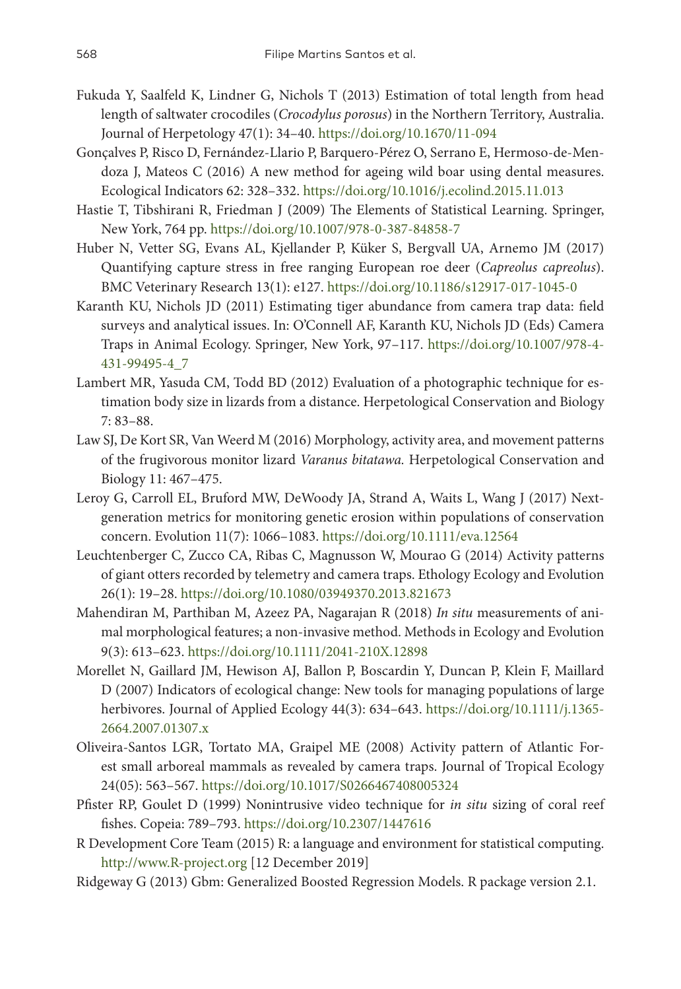- Fukuda Y, Saalfeld K, Lindner G, Nichols T (2013) Estimation of total length from head length of saltwater crocodiles (*Crocodylus porosus*) in the Northern Territory, Australia. Journal of Herpetology 47(1): 34–40. <https://doi.org/10.1670/11-094>
- Gonçalves P, Risco D, Fernández-Llario P, Barquero-Pérez O, Serrano E, Hermoso-de-Mendoza J, Mateos C (2016) A new method for ageing wild boar using dental measures. Ecological Indicators 62: 328–332.<https://doi.org/10.1016/j.ecolind.2015.11.013>
- Hastie T, Tibshirani R, Friedman J (2009) The Elements of Statistical Learning. Springer, New York, 764 pp. <https://doi.org/10.1007/978-0-387-84858-7>
- Huber N, Vetter SG, Evans AL, Kjellander P, Küker S, Bergvall UA, Arnemo JM (2017) Quantifying capture stress in free ranging European roe deer (*Capreolus capreolus*). BMC Veterinary Research 13(1): e127. <https://doi.org/10.1186/s12917-017-1045-0>
- Karanth KU, Nichols JD (2011) Estimating tiger abundance from camera trap data: field surveys and analytical issues. In: O'Connell AF, Karanth KU, Nichols JD (Eds) Camera Traps in Animal Ecology. Springer, New York, 97–117. [https://doi.org/10.1007/978-4-](https://doi.org/10.1007/978-4-431-99495-4_7) [431-99495-4\\_7](https://doi.org/10.1007/978-4-431-99495-4_7)
- Lambert MR, Yasuda CM, Todd BD (2012) Evaluation of a photographic technique for estimation body size in lizards from a distance. Herpetological Conservation and Biology 7: 83–88.
- Law SJ, De Kort SR, Van Weerd M (2016) Morphology, activity area, and movement patterns of the frugivorous monitor lizard *Varanus bitatawa.* Herpetological Conservation and Biology 11: 467–475.
- Leroy G, Carroll EL, Bruford MW, DeWoody JA, Strand A, Waits L, Wang J (2017) Nextgeneration metrics for monitoring genetic erosion within populations of conservation concern. Evolution 11(7): 1066–1083. <https://doi.org/10.1111/eva.12564>
- Leuchtenberger C, Zucco CA, Ribas C, Magnusson W, Mourao G (2014) Activity patterns of giant otters recorded by telemetry and camera traps. Ethology Ecology and Evolution 26(1): 19–28.<https://doi.org/10.1080/03949370.2013.821673>
- Mahendiran M, Parthiban M, Azeez PA, Nagarajan R (2018) *In situ* measurements of animal morphological features; a non-invasive method. Methods in Ecology and Evolution 9(3): 613–623.<https://doi.org/10.1111/2041-210X.12898>
- Morellet N, Gaillard JM, Hewison AJ, Ballon P, Boscardin Y, Duncan P, Klein F, Maillard D (2007) Indicators of ecological change: New tools for managing populations of large herbivores. Journal of Applied Ecology 44(3): 634–643. [https://doi.org/10.1111/j.1365-](https://doi.org/10.1111/j.1365-2664.2007.01307.x) [2664.2007.01307.x](https://doi.org/10.1111/j.1365-2664.2007.01307.x)
- Oliveira-Santos LGR, Tortato MA, Graipel ME (2008) Activity pattern of Atlantic Forest small arboreal mammals as revealed by camera traps. Journal of Tropical Ecology 24(05): 563–567. <https://doi.org/10.1017/S0266467408005324>
- Pfister RP, Goulet D (1999) Nonintrusive video technique for *in situ* sizing of coral reef fishes. Copeia: 789–793. <https://doi.org/10.2307/1447616>
- R Development Core Team (2015) R: a language and environment for statistical computing. <http://www.R-project.org>[12 December 2019]
- Ridgeway G (2013) Gbm: Generalized Boosted Regression Models. R package version 2.1.